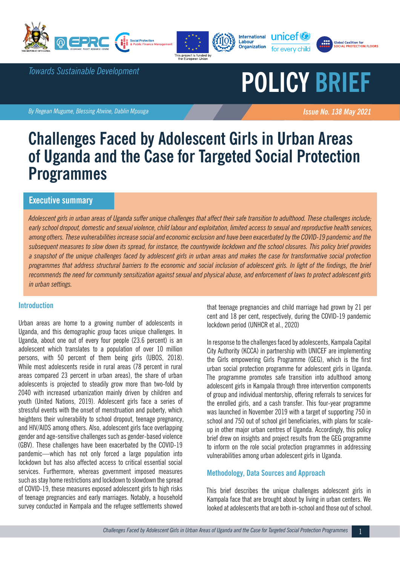







*Towards Sustainable Development*

# **POLICY BRIEF**

**By Regean Mugume, Blessing Atwine, Dablin Mpuuga Issue No. 138 May 2021 Issue No. 138 May 2021** 

## **Challenges Faced by Adolescent Girls in Urban Areas of Uganda and the Case for Targeted Social Protection Programmes**

### **Executive summary**

*Adolescent girls in urban areas of Uganda suffer unique challenges that affect their safe transition to adulthood. These challenges include; early school dropout, domestic and sexual violence, child labour and exploitation, limited access to sexual and reproductive health services, among others. These vulnerabilities increase social and economic exclusion and have been exacerbated by the COVID-19 pandemic and the subsequent measures to slow down its spread, for instance, the countrywide lockdown and the school closures. This policy brief provides a snapshot of the unique challenges faced by adolescent girls in urban areas and makes the case for transformative social protection programmes that address structural barriers to the economic and social inclusion of adolescent girls. In light of the findings, the brief recommends the need for community sensitization against sexual and physical abuse, and enforcement of laws to protect adolescent girls in urban settings.* 

#### **Introduction**

Urban areas are home to a growing number of adolescents in Uganda, and this demographic group faces unique challenges. In Uganda, about one out of every four people (23.6 percent) is an adolescent which translates to a population of over 10 million persons, with 50 percent of them being girls (UBOS, 2018). While most adolescents reside in rural areas (78 percent in rural areas compared 23 percent in urban areas), the share of urban adolescents is projected to steadily grow more than two-fold by 2040 with increased urbanization mainly driven by children and youth (United Nations, 2019). Adolescent girls face a series of stressful events with the onset of menstruation and puberty, which heightens their vulnerability to school dropout, teenage pregnancy, and HIV/AIDS among others. Also, adolescent girls face overlapping gender and age-sensitive challenges such as gender-based violence (GBV). These challenges have been exacerbated by the COVID-19 pandemic—which has not only forced a large population into lockdown but has also affected access to critical essential social services. Furthermore, whereas government imposed measures such as stay home restrictions and lockdown to slowdown the spread of COVID-19, these measures exposed adolescent girls to high risks of teenage pregnancies and early marriages. Notably, a household survey conducted in Kampala and the refugee settlements showed

that teenage pregnancies and child marriage had grown by 21 per cent and 18 per cent, respectively, during the COVID-19 pandemic lockdown period (UNHCR et al., 2020)

In response to the challenges faced by adolescents, Kampala Capital City Authority (KCCA) in partnership with UNICEF are implementing the Girls empowering Girls Programme (GEG), which is the first urban social protection programme for adolescent girls in Uganda. The programme promotes safe transition into adulthood among adolescent girls in Kampala through three intervention components of group and individual mentorship, offering referrals to services for the enrolled girls, and a cash transfer. This four-year programme was launched in November 2019 with a target of supporting 750 in school and 750 out of school girl beneficiaries, with plans for scaleup in other major urban centres of Uganda. Accordingly, this policy brief drew on insights and project results from the GEG programme to inform on the role social protection programmes in addressing vulnerabilities among urban adolescent girls in Uganda.

#### **Methodology, Data Sources and Approach**

This brief describes the unique challenges adolescent girls in Kampala face that are brought about by living in urban centers. We looked at adolescents that are both in-school and those out of school.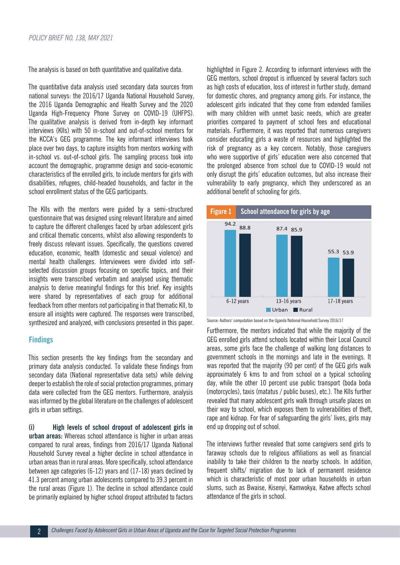The analysis is based on both quantitative and qualitative data.

The quantitative data analysis used secondary data sources from national surveys: the 2016/17 Uganda National Household Survey, the 2016 Uganda Demographic and Health Survey and the 2020 Uganda High-Frequency Phone Survey on COVID-19 (UHFPS). The qualitative analysis is derived from in-depth key informant interviews (KIIs) with 50 in-school and out-of-school mentors for the KCCA's GEG programme. The key informant interviews took place over two days, to capture insights from mentors working with in-school vs. out-of-school girls. The sampling process took into account the demographic, programme design and socio-economic characteristics of the enrolled girls, to include mentors for girls with disabilities, refugees, child-headed households, and factor in the school enrollment status of the GEG participants.

The KIIs with the mentors were guided by a semi-structured questionnaire that was designed using relevant literature and aimed to capture the different challenges faced by urban adolescent girls and critical thematic concerns, whilst also allowing respondents to freely discuss relevant issues. Specifically, the questions covered education, economic, health (domestic and sexual violence) and mental health challenges. Interviewees were divided into selfselected discussion groups focusing on specific topics, and their insights were transcribed verbatim and analysed using thematic analysis to derive meaningful findings for this brief. Key insights were shared by representatives of each group for additional feedback from other mentors not participating in that thematic KII, to ensure all insights were captured. The responses were transcribed, synthesized and analyzed, with conclusions presented in this paper.

#### **Findings**

This section presents the key findings from the secondary and primary data analysis conducted. To validate these findings from secondary data (National representative data sets) while delving deeper to establish the role of social protection programmes, primary data were collected from the GEG mentors. Furthermore, analysis was informed by the global literature on the challenges of adolescent girls in urban settings.

**(i) High levels of school dropout of adolescent girls in urban areas:** Whereas school attendance is higher in urban areas compared to rural areas, findings from 2016/17 Uganda National Household Survey reveal a higher decline in school attendance in urban areas than in rural areas. More specifically, school attendance between age categories (6-12) years and (17-18) years declined by 41.3 percent among urban adolescents compared to 39.3 percent in the rural areas (Figure 1). The decline in school attendance could be primarily explained by higher school dropout attributed to factors highlighted in Figure 2. According to informant interviews with the GEG mentors, school dropout is influenced by several factors such as high costs of education, loss of interest in further study, demand for domestic chores, and pregnancy among girls. For instance, the adolescent girls indicated that they come from extended families with many children with unmet basic needs, which are greater priorities compared to payment of school fees and educational materials. Furthermore, it was reported that numerous caregivers consider educating girls a waste of resources and highlighted the risk of pregnancy as a key concern. Notably, those caregivers who were supportive of girls' education were also concerned that the prolonged absence from school due to COVID-19 would not only disrupt the girls' education outcomes, but also increase their vulnerability to early pregnancy, which they underscored as an additional benefit of schooling for girls.



Source: Authors' computation based on the Uganda National Household Survey 2016/17

Furthermore, the mentors indicated that while the majority of the GEG enrolled girls attend schools located within their Local Council areas, some girls face the challenge of walking long distances to government schools in the mornings and late in the evenings. It was reported that the majority (90 per cent) of the GEG girls walk approximately 6 kms to and from school on a typical schooling day, while the other 10 percent use public transport (boda boda (motorcycles), taxis (matatus / public buses), etc.). The KIIs further revealed that many adolescent girls walk through unsafe places on their way to school, which exposes them to vulnerabilities of theft, rape and kidnap. For fear of safeguarding the girls' lives, girls may end up dropping out of school.

The interviews further revealed that some caregivers send girls to faraway schools due to religious affiliations as well as financial inability to take their children to the nearby schools. In addition, frequent shifts/ migration due to lack of permanent residence which is characteristic of most poor urban households in urban slums, such as Bwaise, Kisenyi, Kamwokya, Katwe affects school attendance of the girls in school.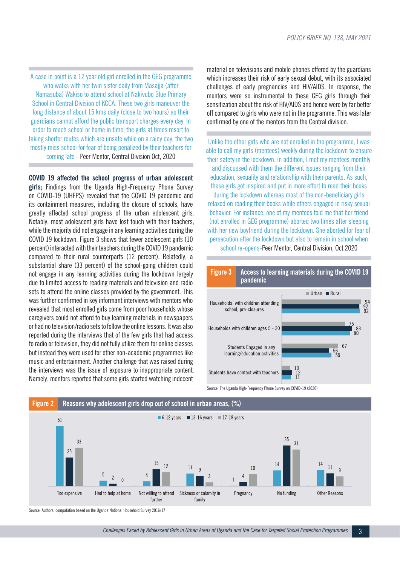A case in point is a 12 year old girl enrolled in the GEG programme who walks with her twin sister daily from Masajia (after Namasuba) Wakiso to attend school at Nakivubo Blue Primary School in Central Division of KCCA. These two girls maneuver the long distance of about 15 kms daily (close to two hours) as their guardians cannot afford the public transport charges every day. In order to reach school or home in time, the girls at times resort to taking shorter routes which are unsafe while on a rainy day, the two mostly miss school for fear of being penalized by their teachers for coming late - Peer Mentor, Central Division Oct, 2020

**COVID 19 affected the school progress of urban adolescent** 

**girls;** Findings from the Uganda High-Frequency Phone Survey on COVID-19 (UHFPS) revealed that the COVID 19 pandemic and its containment measures, including the closure of schools, have greatly affected school progress of the urban adolescent girls. Notably, most adolescent girls have lost touch with their teachers, while the majority did not engage in any learning activities during the COVID 19 lockdown. Figure 3 shows that fewer adolescent girls (10 percent) interacted with their teachers during the COVID 19 pandemic compared to their rural counterparts (12 percent). Relatedly, a substantial share (33 percent) of the school-going children could not engage in any learning activities during the lockdown largely due to limited access to reading materials and television and radio sets to attend the online classes provided by the government. This was further confirmed in key informant interviews with mentors who revealed that most enrolled girls come from poor households whose caregivers could not afford to buy learning materials in newspapers or had no television/radio sets to follow the online lessons. It was also reported during the interviews that of the few girls that had access to radio or television, they did not fully utilize them for online classes but instead they were used for other non-academic programmes like music and entertainment. Another challenge that was raised during the interviews was the issue of exposure to inappropriate content. Namely, mentors reported that some girls started watching indecent

material on televisions and mobile phones offered by the guardians which increases their risk of early sexual debut, with its associated challenges of early pregnancies and HIV/AIDS. In response, the mentors were so instrumental to these GEG girls through their sensitization about the risk of HIV/AIDS and hence were by far better off compared to girls who were not in the programme. This was later confirmed by one of the mentors from the Central division.

Unlike the other girls who are not enrolled in the programme, I was able to call my girls (mentees) weekly during the lockdown to ensure their safety in the lockdown. In addition, I met my mentees monthly and discussed with them the different issues ranging from their education, sexuality and relationship with their parents. As such, these girls got inspired and put in more effort to read their books during the lockdown whereas most of the non-beneficiary girls relaxed on reading their books while others engaged in risky sexual behavior. For instance, one of my mentees told me that her friend (not enrolled in GEG programme) aborted two times after sleeping with her new boyfriend during the lockdown. She aborted for fear of persecution after the lockdown but also to remain in school when school re-opens-Peer Mentor, Central Division, Oct 2020





Source: The Uganda High-Frequency Phone Survey on COVID-19 (2020)

Source: Authors' computation based on the Uganda National Household Survey 2016/17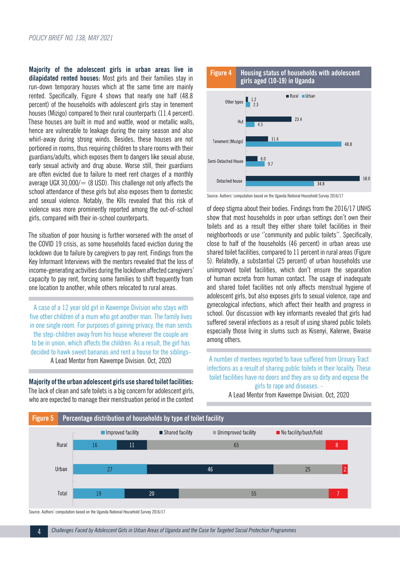**Majority of the adolescent girls in urban areas live in dilapidated rented houses:** Most girls and their families stay in run-down temporary houses which at the same time are mainly rented. Specifically, Figure 4 shows that nearly one half (48.8 percent) of the households with adolescent girls stay in tenement houses (Mizigo) compared to their rural counterparts (11.4 percent). These houses are built in mud and wattle, wood or metallic walls, hence are vulnerable to leakage during the rainy season and also whirl-away during strong winds. Besides, these houses are not portioned in rooms, thus requiring children to share rooms with their guardians/adults, which exposes them to dangers like sexual abuse, early sexual activity and drug abuse. Worse still, their guardians are often evicted due to failure to meet rent charges of a monthly average UGX 30,000/ $=$  (8 USD). This challenge not only affects the school attendance of these girls but also exposes them to domestic and sexual violence. Notably, the KIIs revealed that this risk of violence was more prominently reported among the out-of-school girls, compared with their in-school counterparts.

The situation of poor housing is further worsened with the onset of the COVID 19 crisis, as some households faced eviction during the lockdown due to failure by caregivers to pay rent. Findings from the Key Informant Interviews with the mentors revealed that the loss of income-generating activities during the lockdown affected caregivers' capacity to pay rent, forcing some families to shift frequently from one location to another, while others relocated to rural areas.

A case of a 12 year old girl in Kawempe Division who stays with five other children of a mum who got another man. The family lives in one single room. For purposes of gaining privacy, the man sends the step-children away from his house whenever the couple are to be in union, which affects the children. As a result, the girl has decided to hawk sweet bananas and rent a house for the siblings-A Lead Mentor from Kawempe Division. Oct, 2020

**Majority of the urban adolescent girls use shared toilet facilities:**  The lack of clean and safe toilets is a big concern for adolescent girls, who are expected to manage their menstruation period in the context



Source: Authors' computation based on the Uganda National Household Survey 2016/17

of deep stigma about their bodies. Findings from the 2016/17 UNHS show that most households in poor urban settings don't own their toilets and as a result they either share toilet facilities in their neighborhoods or use ''community and public toilets''. Specifically, close to half of the households (46 percent) in urban areas use shared toilet facilities, compared to 11 percent in rural areas (Figure 5). Relatedly, a substantial (25 percent) of urban households use unimproved toilet facilities, which don't ensure the separation of human excreta from human contact. The usage of inadequate and shared toilet facilities not only affects menstrual hygiene of adolescent girls, but also exposes girls to sexual violence, rape and gynecological infections, which affect their health and progress in school. Our discussion with key informants revealed that girls had suffered several infections as a result of using shared public toilets especially those living in slums such as Kisenyi, Kalerwe, Bwaise among others.

A number of mentees reported to have suffered from Urinary Tract infections as a result of sharing public toilets in their locality. These toilet facilities have no doors and they are so dirty and expose the girls to rape and diseases. -

A Lead Mentor from Kawempe Division. Oct, 2020



Source: Authors' computation based on the Uganda National Household Survey 2016/17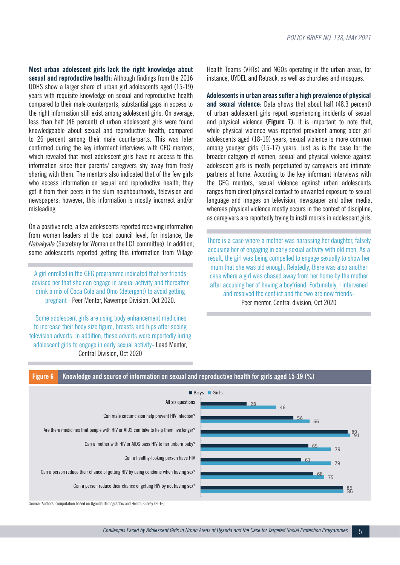**Most urban adolescent girls lack the right knowledge about sexual and reproductive health:** Although findings from the 2016 UDHS show a larger share of urban girl adolescents aged (15-19) years with requisite knowledge on sexual and reproductive health compared to their male counterparts, substantial gaps in access to the right information still exist among adolescent girls. On average, less than half (46 percent) of urban adolescent girls were found knowledgeable about sexual and reproductive health, compared to 26 percent among their male counterparts. This was later confirmed during the key informant interviews with GEG mentors, which revealed that most adolescent girls have no access to this information since their parents/ caregivers shy away from freely sharing with them. The mentors also indicated that of the few girls who access information on sexual and reproductive health, they get it from their peers in the slum neighbourhoods, television and newspapers; however, this information is mostly incorrect and/or misleading.

On a positive note, a few adolescents reported receiving information from women leaders at the local council level, for instance, the *Nabakyala* (Secretary for Women on the LC1 committee). In addition, some adolescents reported getting this information from Village

A girl enrolled in the GEG programme indicated that her friends advised her that she can engage in sexual activity and thereafter drink a mix of Coca Cola and Omo (detergent) to avoid getting pregnant - Peer Mentor, Kawempe Division, Oct 2020.

 Some adolescent girls are using body enhancement medicines to increase their body size figure, breasts and hips after seeing television adverts. In addition, these adverts were reportedly luring adolescent girls to engage in early sexual activity- Lead Mentor, Central Division, Oct 2020

Health Teams (VHTs) and NGOs operating in the urban areas, for instance, UYDEL and Retrack, as well as churches and mosques.

**Adolescents in urban areas suffer a high prevalence of physical and sexual violence**: Data shows that about half (48.3 percent) of urban adolescent girls report experiencing incidents of sexual and physical violence **(Figure 7).** It is important to note that, while physical violence was reported prevalent among older girl adolescents aged (18-19) years, sexual violence is more common among younger girls (15-17) years. Just as is the case for the broader category of women, sexual and physical violence against adolescent girls is mostly perpetuated by caregivers and intimate partners at home. According to the key informant interviews with the GEG mentors, sexual violence against urban adolescents ranges from direct physical contact to unwanted exposure to sexual language and images on television, newspaper and other media, whereas physical violence mostly occurs in the context of discipline, as caregivers are reportedly trying to instil morals in adolescent girls.

There is a case where a mother was harassing her daughter, falsely accusing her of engaging in early sexual activity with old men. As a result, the girl was being compelled to engage sexually to show her mum that she was old enough. Relatedly, there was also another case where a girl was chased away from her home by the mother after accusing her of having a boyfriend. Fortunately, I intervened and resolved the conflict and the two are now friends-Peer mentor, Central division, Oct 2020



**Figure 6 Knowledge and source of information on sexual and reproductive health for girls aged 15-19 (%)**

Source: Authors' computation based on Uganda Demographic and Health Survey (2016)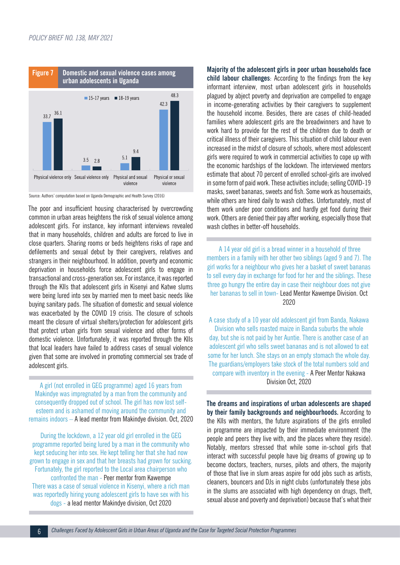

Source: Authors' computation based on Uganda Demographic and Health Survey (2016)

The poor and insufficient housing characterised by overcrowding common in urban areas heightens the risk of sexual violence among adolescent girls. For instance, key informant interviews revealed that in many households, children and adults are forced to live in close quarters. Sharing rooms or beds heightens risks of rape and defilements and sexual debut by their caregivers, relatives and strangers in their neighbourhood. In addition, poverty and economic deprivation in households force adolescent girls to engage in transactional and cross-generation sex. For instance, it was reported through the KIIs that adolescent girls in Kisenyi and Katwe slums were being lured into sex by married men to meet basic needs like buying sanitary pads. The situation of domestic and sexual violence was exacerbated by the COVID 19 crisis. The closure of schools meant the closure of virtual shelters/protection for adolescent girls that protect urban girls from sexual violence and other forms of domestic violence. Unfortunately, it was reported through the KIIs that local leaders have failed to address cases of sexual violence given that some are involved in promoting commercial sex trade of adolescent girls.

A girl (not enrolled in GEG programme) aged 16 years from Makindye was impregnated by a man from the community and consequently dropped out of school. The girl has now lost selfesteem and is ashamed of moving around the community and remains indoors – A lead mentor from Makindye division. Oct, 2020

During the lockdown, a 12 year old girl enrolled in the GEG programme reported being lured by a man in the community who kept seducing her into sex. He kept telling her that she had now grown to engage in sex and that her breasts had grown for sucking. Fortunately, the girl reported to the Local area chairperson who confronted the man - Peer mentor from Kawempe There was a case of sexual violence in Kisenyi, where a rich man was reportedly hiring young adolescent girls to have sex with his dogs - a lead mentor Makindye division, Oct 2020

**Majority of the adolescent girls in poor urban households face child labour challenges**: According to the findings from the key informant interview, most urban adolescent girls in households plagued by abject poverty and deprivation are compelled to engage in income-generating activities by their caregivers to supplement the household income. Besides, there are cases of child-headed families where adolescent girls are the breadwinners and have to work hard to provide for the rest of the children due to death or critical illness of their caregivers. This situation of child labour even increased in the midst of closure of schools, where most adolescent girls were required to work in commercial activities to cope up with the economic hardships of the lockdown. The interviewed mentors estimate that about 70 percent of enrolled school-girls are involved in some form of paid work. These activities include; selling COVID-19 masks, sweet bananas, sweets and fish. Some work as housemaids, while others are hired daily to wash clothes. Unfortunately, most of them work under poor conditions and hardly get food during their work. Others are denied their pay after working, especially those that wash clothes in better-off households.

A 14 year old girl is a bread winner in a household of three members in a family with her other two siblings (aged 9 and 7). The girl works for a neighbour who gives her a basket of sweet bananas to sell every day in exchange for food for her and the siblings. These three go hungry the entire day in case their neighbour does not give her bananas to sell in town- Lead Mentor Kawempe Division. Oct 2020

A case study of a 10 year old adolescent girl from Banda, Nakawa Division who sells roasted maize in Banda suburbs the whole day, but she is not paid by her Auntie. There is another case of an adolescent girl who sells sweet bananas and is not allowed to eat some for her lunch. She stays on an empty stomach the whole day. The guardians/employers take stock of the total numbers sold and compare with inventory in the evening - A Peer Mentor Nakawa Division Oct, 2020

**The dreams and inspirations of urban adolescents are shaped by their family backgrounds and neighbourhoods.** According to the KIIs with mentors, the future aspirations of the girls enrolled in programme are impacted by their immediate environment (the people and peers they live with, and the places where they reside). Notably, mentors stressed that while some in-school girls that interact with successful people have big dreams of growing up to become doctors, teachers, nurses, pilots and others, the majority of those that live in slum areas aspire for odd jobs such as artists, cleaners, bouncers and DJs in night clubs (unfortunately these jobs in the slums are associated with high dependency on drugs, theft, sexual abuse and poverty and deprivation) because that's what their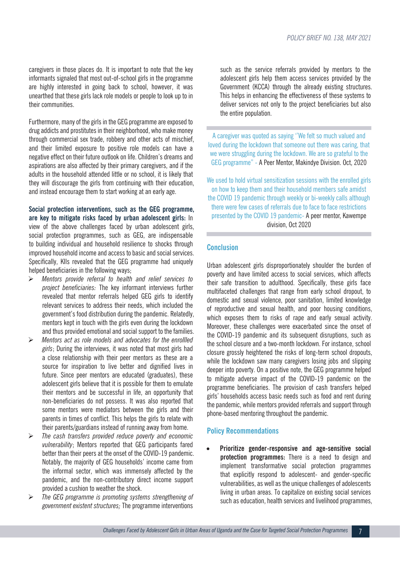caregivers in those places do. It is important to note that the key informants signaled that most out-of-school girls in the programme are highly interested in going back to school, however, it was unearthed that these girls lack role models or people to look up to in their communities.

Furthermore, many of the girls in the GEG programme are exposed to drug addicts and prostitutes in their neighborhood, who make money through commercial sex trade, robbery and other acts of mischief, and their limited exposure to positive role models can have a negative effect on their future outlook on life. Children's dreams and aspirations are also affected by their primary caregivers, and if the adults in the household attended little or no school, it is likely that they will discourage the girls from continuing with their education, and instead encourage them to start working at an early age.

**Social protection interventions, such as the GEG programme, are key to mitigate risks faced by urban adolescent girls:** In view of the above challenges faced by urban adolescent girls, social protection programmes, such as GEG, are indispensable to building individual and household resilience to shocks through improved household income and access to basic and social services. Specifically, KIIs revealed that the GEG programme had uniquely helped beneficiaries in the following ways;

- *Mentors provide referral to health and relief services to project beneficiaries:* The key informant interviews further revealed that mentor referrals helped GEG girls to identify relevant services to address their needs, which included the government's food distribution during the pandemic. Relatedly, mentors kept in touch with the girls even during the lockdown and thus provided emotional and social support to the families.
- *Mentors act as role models and advocates for the enrollled girls*; During the interviews, it was noted that most girls had a close relationship with their peer mentors as these are a source for inspiration to live better and dignified lives in future. Since peer mentors are educated (graduates), these adolescent girls believe that it is possible for them to emulate their mentors and be successful in life, an opportunity that non-beneficiaries do not possess. It was also reported that some mentors were mediators between the girls and their parents in times of conflict. This helps the girls to relate with their parents/guardians instead of running away from home.
- *The cash transfers provided reduce poverty and economic vulnerability*; Mentors reported that GEG participants fared better than their peers at the onset of the COVID-19 pandemic. Notably, the majority of GEG households' income came from the informal sector, which was immensely affected by the pandemic, and the non-contributory direct income support provided a cushion to weather the shock.
- *The GEG programme is promoting systems strengthening of government existent structures;* The programme interventions

such as the service referrals provided by mentors to the adolescent girls help them access services provided by the Government (KCCA) through the already existing structures. This helps in enhancing the effectiveness of these systems to deliver services not only to the project beneficiaries but also the entire population.

A caregiver was quoted as saying ''We felt so much valued and loved during the lockdown that someone out there was caring, that we were struggling during the lockdown. We are so grateful to the GEG programme" - A Peer Mentor, Makindye Division. Oct, 2020

We used to hold virtual sensitization sessions with the enrolled girls on how to keep them and their household members safe amidst the COVID 19 pandemic through weekly or bi-weekly calls although there were few cases of referrals due to face to face restrictions presented by the COVID 19 pandemic- A peer mentor, Kawempe division, Oct 2020

#### **Conclusion**

Urban adolescent girls disproportionately shoulder the burden of poverty and have limited access to social services, which affects their safe transition to adulthood. Specifically, these girls face multifaceted challenges that range from early school dropout, to domestic and sexual violence, poor sanitation, limited knowledge of reproductive and sexual health, and poor housing conditions, which exposes them to risks of rape and early sexual activity. Moreover, these challenges were exacerbated since the onset of the COVID-19 pandemic and its subsequent disruptions, such as the school closure and a two-month lockdown. For instance, school closure grossly heightened the risks of long-term school dropouts, while the lockdown saw many caregivers losing jobs and slipping deeper into poverty. On a positive note, the GEG programme helped to mitigate adverse impact of the COVID-19 pandemic on the programme beneficiaries. The provision of cash transfers helped girls' households access basic needs such as food and rent during the pandemic, while mentors provided referrals and support through phone-based mentoring throughout the pandemic.

#### **Policy Recommendations**

**Prioritize gender-responsive and age-sensitive social protection programmes:** There is a need to design and implement transformative social protection programmes that explicitly respond to adolescent- and gender-specific vulnerabilities, as well as the unique challenges of adolescents living in urban areas. To capitalize on existing social services such as education, health services and livelihood programmes,